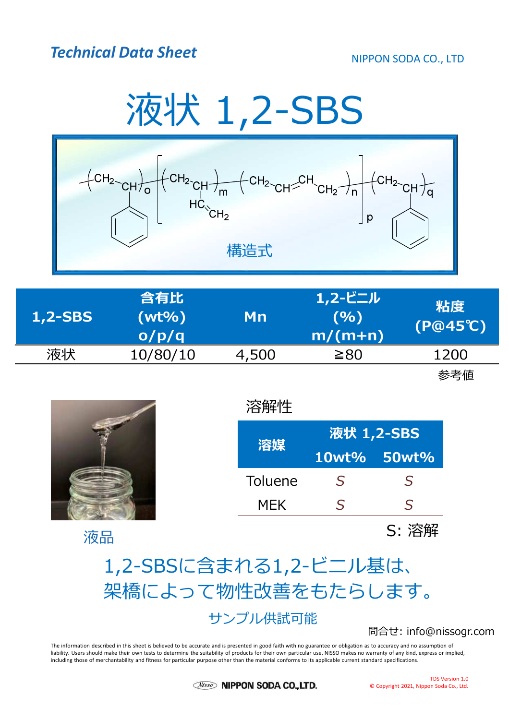

| <b>1,2-SBS</b> | 含有比<br>$(wt\%)$<br>o/p/q | Mn    | 1,2-ビニル<br>(9/0)<br>$m/(m+n)$ | 粘度<br>$(P@45^{\circ}C)$ |
|----------------|--------------------------|-------|-------------------------------|-------------------------|
| 液状             | 10/80/10                 | 4,500 | ≥80                           | 1200                    |

参考値

溶解性

|         | 液状 1,2-SBS    |               |  |  |
|---------|---------------|---------------|--|--|
| 溶媒      |               | 10wt% 50wt%   |  |  |
| Toluene | S             | $\mathcal{S}$ |  |  |
| MEK     | $\mathcal{S}$ | $\mathcal{S}$ |  |  |
|         |               |               |  |  |

液品

S: 溶解

## 1,2-SBSに含まれる1,2-ビニル基は、 架橋によって物性改善をもたらします。

## サンプル供試可能

問合せ: [info@nissogr.com](mailto:info@nissogr.com)

The information described in this sheet is believed to be accurate and is presented in good faith with no guarantee or obligation as to accuracy and no assumption of liability. Users should make their own tests to determine the suitability of products for their own particular use. NISSO makes no warranty of any kind, express or implied, including those of merchantability and fitness for particular purpose other than the material conforms to its applicable current standard specifications.